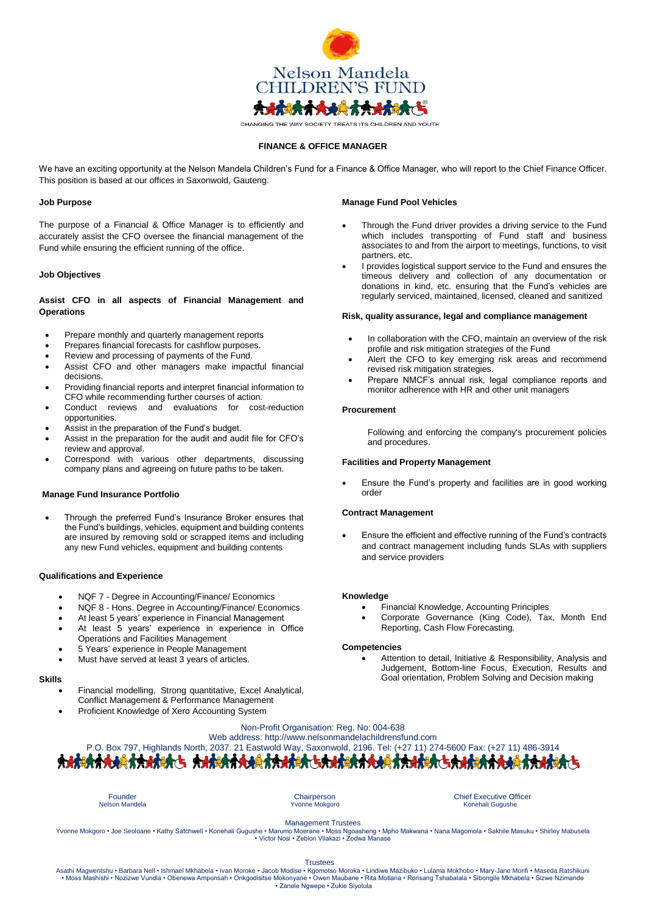

# **FINANCE & OFFICE MANAGER**

We have an exciting opportunity at the Nelson Mandela Children's Fund for a Finance & Office Manager, who will report to the Chief Finance Officer. This position is based at our offices in Saxonwold, Gauteng.

#### **Job Purpose**

The purpose of a Financial & Office Manager is to efficiently and accurately assist the CFO oversee the financial management of the Fund while ensuring the efficient running of the office.

#### **Job Objectives**

# **Assist CFO in all aspects of Financial Management and Operations**

- Prepare monthly and quarterly management reports
- Prepares financial forecasts for cashflow purposes.
- Review and processing of payments of the Fund.
- Assist CFO and other managers make impactful financial decisions.
- Providing financial reports and interpret financial information to CFO while recommending further courses of action.
- Conduct reviews and evaluations for cost-reduction opportunities.
- Assist in the preparation of the Fund's budget.
- Assist in the preparation for the audit and audit file for CFO's review and approval.
- Correspond with various other departments, discussing company plans and agreeing on future paths to be taken.

# **Manage Fund Insurance Portfolio**

 Through the preferred Fund's Insurance Broker ensures that the Fund's buildings, vehicles, equipment and building contents are insured by removing sold or scrapped items and including any new Fund vehicles, equipment and building contents

# **Qualifications and Experience**

- NQF 7 Degree in Accounting/Finance/ Economics
- NQF 8 Hons. Degree in Accounting/Finance/ Economics
- At least 5 years' experience in Financial Management
- At least 5 years' experience in experience in Office Operations and Facilities Management
- 5 Years' experience in People Management
- Must have served at least 3 years of articles.

# **Skills**

- Financial modelling, Strong quantitative, Excel Analytical, Conflict Management & Performance Management
- Proficient Knowledge of Xero Accounting System

#### **Manage Fund Pool Vehicles**

- Through the Fund driver provides a driving service to the Fund which includes transporting of Fund staff and business associates to and from the airport to meetings, functions, to visit partners, etc.
- I provides logistical support service to the Fund and ensures the timeous delivery and collection of any documentation or donations in kind, etc. ensuring that the Fund's vehicles are regularly serviced, maintained, licensed, cleaned and sanitized

#### **Risk, quality assurance, legal and compliance management**

- In collaboration with the CFO, maintain an overview of the risk profile and risk mitigation strategies of the Fund
- Alert the CFO to key emerging risk areas and recommend revised risk mitigation strategies.
- Prepare NMCF's annual risk, legal compliance reports and monitor adherence with HR and other unit managers

#### **Procurement**

Following and enforcing the company's procurement policies and procedures.

#### **Facilities and Property Management**

 Ensure the Fund's property and facilities are in good working order

### **Contract Management**

 Ensure the efficient and effective running of the Fund's contracts and contract management including funds SLAs with suppliers and service providers

# **Knowledge**

- Financial Knowledge, Accounting Principles
- Corporate Governance (King Code), Tax, Month End Reporting, Cash Flow Forecasting.

#### **Competencies**

 Attention to detail, Initiative & Responsibility, Analysis and Judgement, Bottom-line Focus, Execution, Results and Goal orientation, Problem Solving and Decision making

# Non-Profit Organisation: Reg. No: 004-638 Web address: http://www.nelsonmandelachildrensfund.com P.O. Box 797, Highlands North, 2037. 21 Eastwold Way, Saxonwold, 2196. Tel: (+27 11) 274-5600 Fax: (+27 11) 486-3914

Founder Chairperson Chairperson<br>
Person Mandela Chairperson<br>
The Chairperson Chairperson Chairperson Chief Executive Officer<br>
Chairperson Chairperson Chief Executive Officer<br>
Chairperson Chairperson Chief Executive Officer Konehali Gugushe

Management Trustees

Yvonne Mokgoro • Joe Seoloane • Kathy Satchwell • Konehali Gugushe • Marumo Moerane • Moss Ngoasheng • Mpho Makwana • Nana Magomola • Sakhile Masuku • Shirley Mabusela • Victor Nosi • Zeblon Vilakazi • Zodwa Manase

Trustees<br>Asathi Magwentshu • Barbara Nell • Ishmael Mkhabela • Ivan Moroke • Jacob Modis • Kgomotso Moroka • Lindiwe Mazibuko • Lulama Mokhobo • Mary-Jane Morifi • Maseda Ratshikuni • Moss Mashishi • Noxizwe Yundla • Oben